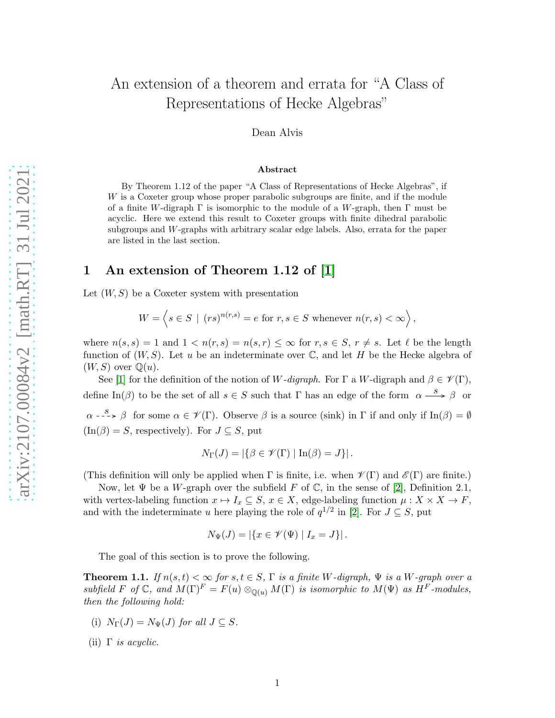# An extension of a theorem and errata for "A Class of Representations of Hecke Algebras"

Dean Alvis

#### Abstract

By Theorem 1.12 of the paper "A Class of Representations of Hecke Algebras", if W is a Coxeter group whose proper parabolic subgroups are finite, and if the module of a finite W-digraph  $\Gamma$  is isomorphic to the module of a W-graph, then  $\Gamma$  must be acyclic. Here we extend this result to Coxeter groups with finite dihedral parabolic subgroups and W-graphs with arbitrary scalar edge labels. Also, errata for the paper are listed in the last section.

### 1 An extension of Theorem 1.12 of [\[1\]](#page-3-0)

Let  $(W, S)$  be a Coxeter system with presentation

$$
W = \left\langle s \in S \mid (rs)^{n(r,s)} = e \text{ for } r, s \in S \text{ whenever } n(r,s) < \infty \right\rangle,
$$

where  $n(s, s) = 1$  and  $1 < n(r, s) = n(s, r) \leq \infty$  for  $r, s \in S, r \neq s$ . Let  $\ell$  be the length function of  $(W, S)$ . Let u be an indeterminate over  $\mathbb{C}$ , and let H be the Hecke algebra of  $(W, S)$  over  $\mathbb{Q}(u)$ .

See [\[1\]](#page-3-0) for the definition of the notion of W-digraph. For  $\Gamma$  a W-digraph and  $\beta \in \mathscr{V}(\Gamma)$ , define In( $\beta$ ) to be the set of all  $s \in S$  such that  $\Gamma$  has an edge of the form  $\alpha \stackrel{s}{\longrightarrow} \beta$  or  $\alpha \xrightarrow{g} \beta$  for some  $\alpha \in \mathscr{V}(\Gamma)$ . Observe  $\beta$  is a source (sink) in  $\Gamma$  if and only if  $\text{In}(\beta) = \emptyset$  $(\text{In}(\beta) = S,$  respectively). For  $J \subseteq S$ , put

$$
N_{\Gamma}(J) = |\{\beta \in \mathscr{V}(\Gamma) \mid \text{In}(\beta) = J\}|.
$$

(This definition will only be applied when  $\Gamma$  is finite, i.e. when  $\mathscr{V}(\Gamma)$  and  $\mathscr{E}(\Gamma)$  are finite.)

Now, let  $\Psi$  be a W-graph over the subfield F of  $\mathbb C$ , in the sense of [\[2\]](#page-3-1), Definition 2.1, with vertex-labeling function  $x \mapsto I_x \subseteq S$ ,  $x \in X$ , edge-labeling function  $\mu : X \times X \to F$ , and with the indeterminate u here playing the role of  $q^{1/2}$  in [\[2\]](#page-3-1). For  $J \subseteq S$ , put

$$
N_{\Psi}(J) = |\{x \in \mathcal{V}(\Psi) \mid I_x = J\}|.
$$

The goal of this section is to prove the following.

**Theorem 1.1.** *If*  $n(s,t) < \infty$  *for*  $s,t \in S$ ,  $\Gamma$  *is a finite* W-digraph,  $\Psi$  *is a* W-graph over a *subfield* F of C, and  $M(\Gamma)^F = F(u) \otimes_{\mathbb{O}(u)} M(\Gamma)$  *is isomorphic to*  $M(\Psi)$  *as*  $H^F$ *-modules, then the following hold:*

- <span id="page-0-0"></span>(i)  $N_{\Gamma}(J) = N_{\Psi}(J)$  *for all*  $J \subseteq S$ *.*
- (ii) Γ *is acyclic.*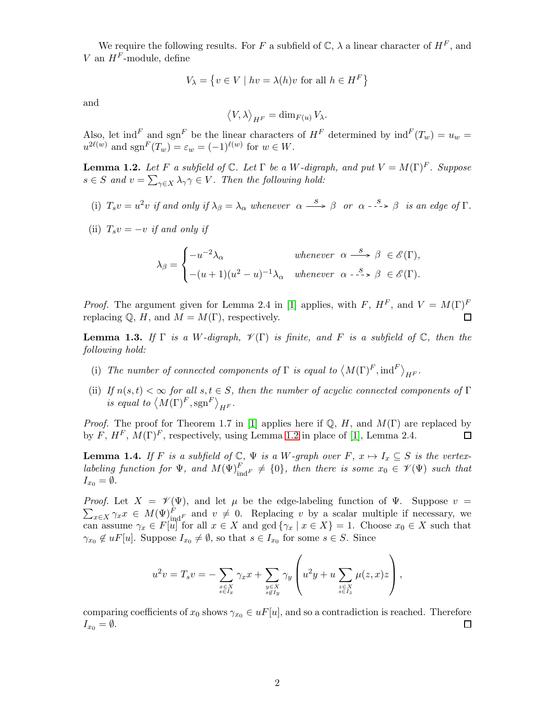We require the following results. For F a subfield of  $\mathbb{C}$ ,  $\lambda$  a linear character of  $H^F$ , and V an  $H^F$ -module, define

$$
V_{\lambda} = \{ v \in V \mid hv = \lambda(h)v \text{ for all } h \in H^F \}
$$

and

$$
\left\langle V,\lambda\right\rangle _{H^F}=\dim_{F(u)}V_\lambda.
$$

Also, let ind<sup>F</sup> and sgn<sup>F</sup> be the linear characters of  $H^F$  determined by  $\text{ind}^F(T_w) = u_w =$  $u^{2\ell(w)}$  and  $sgn^{F}(T_w) = \varepsilon_w = (-1)^{\ell(w)}$  for  $w \in W$ .

<span id="page-1-0"></span>**Lemma 1.2.** Let F a subfield of  $\mathbb{C}$ . Let  $\Gamma$  be a W-digraph, and put  $V = M(\Gamma)^F$ . Suppose  $s \in S$  and  $v = \sum_{\gamma \in X} \lambda_{\gamma} \gamma \in V$ . Then the following hold:

- (i)  $T_s v = u^2 v$  *if and only if*  $\lambda_\beta = \lambda_\alpha$  *whenever*  $\alpha \xrightarrow{s} \beta$  *or*  $\alpha \xrightarrow{s} \beta$  *is an edge of*  $\Gamma$ *.*
- (ii)  $T_s v = -v$  *if and only if*

$$
\lambda_{\beta} = \begin{cases}\n-u^{-2}\lambda_{\alpha} & \text{whenever } \alpha \stackrel{s}{\longrightarrow} \beta \in \mathscr{E}(\Gamma), \\
-(u+1)(u^2-u)^{-1}\lambda_{\alpha} & \text{whenever } \alpha \stackrel{s}{\dashrightarrow} \beta \in \mathscr{E}(\Gamma).\n\end{cases}
$$

*Proof.* The argument given for Lemma 2.4 in [\[1\]](#page-3-0) applies, with F,  $H^F$ , and  $V = M(\Gamma)^F$ replacing  $\mathbb{Q}$ , H, and  $M = M(\Gamma)$ , respectively. П

<span id="page-1-1"></span>**Lemma 1.3.** *If*  $\Gamma$  *is a W*-digraph,  $\mathcal{V}(\Gamma)$  *is finite, and F is a subfield of*  $\mathbb{C}$ *, then the following hold:*

- (i) The number of connected components of  $\Gamma$  is equal to  $\langle M(\Gamma)^F,\text{ind}^F \rangle_{H^F}$ .
- (ii) *If*  $n(s,t) < \infty$  *for all*  $s,t \in S$ *, then the number of acyclic connected components of* Γ *is equal to*  $\langle M(\Gamma)^F, \operatorname{sgn}^F \rangle_{H^F}$ .

*Proof.* The proof for Theorem 1.7 in [\[1\]](#page-3-0) applies here if  $\mathbb{Q}$ , H, and  $M(\Gamma)$  are replaced by by F,  $H^F$ ,  $M(\Gamma)^F$ , respectively, using Lemma [1.2](#page-1-0) in place of [\[1\]](#page-3-0), Lemma 2.4.  $\Box$ 

<span id="page-1-2"></span>**Lemma 1.4.** *If* F *is a subfield of*  $\mathbb{C}$ ,  $\Psi$  *is a* W-graph over F,  $x \mapsto I_x \subseteq S$  *is the vertex-* $$  $I_{x_0} = \emptyset.$ 

 $\sum_{x \in X} \gamma_x x \in M(\Psi)_{\text{ind}^F}^F$  and  $v \neq 0$ . Replacing v by a scalar multiple if necessary, we *Proof.* Let  $X = \mathcal{V}(\Psi)$ , and let  $\mu$  be the edge-labeling function of  $\Psi$ . Suppose  $v =$ can assume  $\gamma_x \in F[u]$  for all  $x \in X$  and  $\gcd\{\gamma_x \mid x \in X\} = 1$ . Choose  $x_0 \in X$  such that  $\gamma_{x_0} \notin uF[u]$ . Suppose  $I_{x_0} \neq \emptyset$ , so that  $s \in I_{x_0}$  for some  $s \in S$ . Since

$$
u^{2}v = T_{s}v = -\sum_{\substack{x \in X \\ s \in T_{x}}} \gamma_{x}x + \sum_{\substack{y \in X \\ s \notin T_{y}}} \gamma_{y} \left( u^{2}y + u \sum_{\substack{z \in X \\ s \in T_{z}}} \mu(z, x)z \right),
$$

comparing coefficients of  $x_0$  shows  $\gamma_{x_0} \in uF[u]$ , and so a contradiction is reached. Therefore  $I_{x_0} = \emptyset.$  $\Box$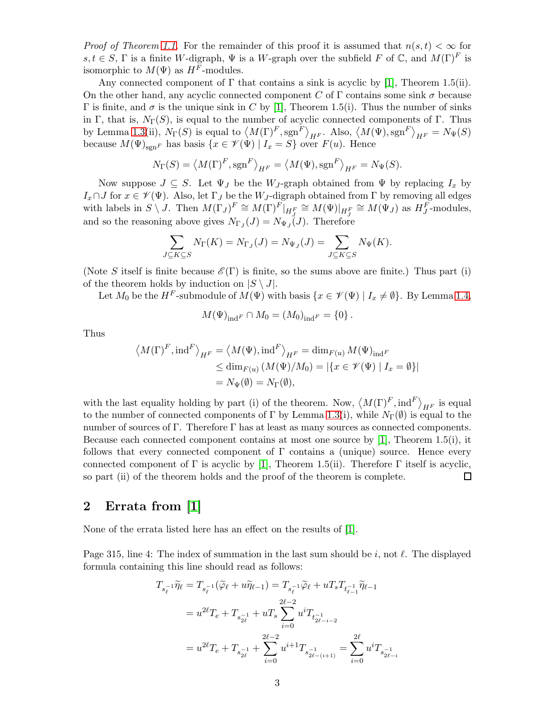*Proof of Theorem [1.1.](#page-0-0)* For the remainder of this proof it is assumed that  $n(s,t) < \infty$  for s,  $t \in S$ ,  $\Gamma$  is a finite W-digraph,  $\Psi$  is a W-graph over the subfield F of  $\mathbb{C}$ , and  $M(\Gamma)^F$  is isomorphic to  $M(\Psi)$  as  $H^F$ -modules.

Any connected component of  $\Gamma$  that contains a sink is acyclic by [\[1\]](#page-3-0), Theorem 1.5(ii). On the other hand, any acyclic connected component C of  $\Gamma$  contains some sink  $\sigma$  because Γ is finite, and  $\sigma$  is the unique sink in C by [\[1\]](#page-3-0), Theorem 1.5(i). Thus the number of sinks in Γ, that is,  $N_{\Gamma}(S)$ , is equal to the number of acyclic connected components of Γ. Thus by Lemma [1.3\(](#page-1-1)ii),  $N_{\Gamma}(S)$  is equal to  $\langle M(\Gamma)^F$ ,  $sgn^F \rangle_{H^F}$ . Also,  $\langle M(\Psi), sgn^F \rangle_{H^F} = N_{\Psi}(S)$ because  $M(\Psi)_{\text{sgn}F}$  has basis  $\{x \in \mathcal{V}(\Psi) \mid I_x = S\}$  over  $F(u)$ . Hence

$$
N_{\Gamma}(S) = \langle M(\Gamma)^F, \operatorname{sgn}^F \rangle_{H^F} = \langle M(\Psi), \operatorname{sgn}^F \rangle_{H^F} = N_{\Psi}(S).
$$

Now suppose  $J \subseteq S$ . Let  $\Psi_J$  be the  $W_J$ -graph obtained from  $\Psi$  by replacing  $I_x$  by Ix∩J for  $x \in \mathscr{V}(\Psi)$ . Also, let  $\Gamma_J$  be the W<sub>J</sub>-digraph obtained from  $\Gamma$  by removing all edges with labels in  $S \setminus J$ . Then  $M(\Gamma_J)^F \cong M(\Gamma)^F|_{H_J^F} \cong M(\Psi)|_{H_J^F} \cong M(\Psi_J)$  as  $H_J^F$ -modules, and so the reasoning above gives  $N_{\Gamma_J}(J) = N_{\Psi_J}(J)$ . Therefore

$$
\sum_{J \subseteq K \subseteq S} N_{\Gamma}(K) = N_{\Gamma_J}(J) = N_{\Psi_J}(J) = \sum_{J \subseteq K \subseteq S} N_{\Psi}(K).
$$

(Note S itself is finite because  $\mathscr{E}(\Gamma)$  is finite, so the sums above are finite.) Thus part (i) of the theorem holds by induction on  $|S \setminus J|$ .

Let  $M_0$  be the H<sup>F</sup>-submodule of  $M(\Psi)$  with basis  $\{x \in \mathcal{V}(\Psi) \mid I_x \neq \emptyset\}$ . By Lemma [1.4,](#page-1-2)

$$
M(\Psi)_{\text{ind}^F} \cap M_0 = (M_0)_{\text{ind}^F} = \{0\}.
$$

Thus

$$
\langle M(\Gamma)^F, \text{ind}^F \rangle_{H^F} = \langle M(\Psi), \text{ind}^F \rangle_{H^F} = \dim_{F(u)} M(\Psi)_{\text{ind}^F}
$$
  
\n
$$
\leq \dim_{F(u)} (M(\Psi)/M_0) = |\{x \in \mathcal{V}(\Psi) \mid I_x = \emptyset\}|
$$
  
\n
$$
= N_{\Psi}(\emptyset) = N_{\Gamma}(\emptyset),
$$

with the last equality holding by part (i) of the theorem. Now,  $\langle M(\Gamma)^F, \text{ind}^F \rangle_{H^F}$  is equal to the number of connected components of Γ by Lemma [1.3\(](#page-1-1)i), while  $N_{\Gamma}(\emptyset)$  is equal to the number of sources of Γ. Therefore Γ has at least as many sources as connected components. Because each connected component contains at most one source by  $[1]$ , Theorem 1.5(i), it follows that every connected component of  $\Gamma$  contains a (unique) source. Hence every connected component of Γ is acyclic by [\[1\]](#page-3-0), Theorem 1.5(ii). Therefore Γ itself is acyclic, so part (ii) of the theorem holds and the proof of the theorem is complete. □

## 2 Errata from [\[1\]](#page-3-0)

None of the errata listed here has an effect on the results of [\[1\]](#page-3-0).

Page 315, line 4: The index of summation in the last sum should be i, not  $\ell$ . The displayed formula containing this line should read as follows:

$$
T_{s_{\ell}^{-1}}\widetilde{\eta}_{\ell} = T_{s_{\ell}^{-1}}(\widetilde{\varphi}_{\ell} + u\widetilde{\eta}_{\ell-1}) = T_{s_{\ell}^{-1}}\widetilde{\varphi}_{\ell} + uT_{s}T_{t_{\ell-1}^{-1}}\widetilde{\eta}_{\ell-1}
$$
  

$$
= u^{2\ell}T_{e} + T_{s_{2\ell}^{-1}} + uT_{s} \sum_{i=0}^{2\ell-2} u^{i}T_{t_{2\ell-i-2}^{-1}}
$$
  

$$
= u^{2\ell}T_{e} + T_{s_{2\ell}^{-1}} + \sum_{i=0}^{2\ell-2} u^{i+1}T_{s_{2\ell-(i+1)}^{-1}} = \sum_{i=0}^{2\ell} u^{i}T_{s_{2\ell-i}^{-1}}
$$